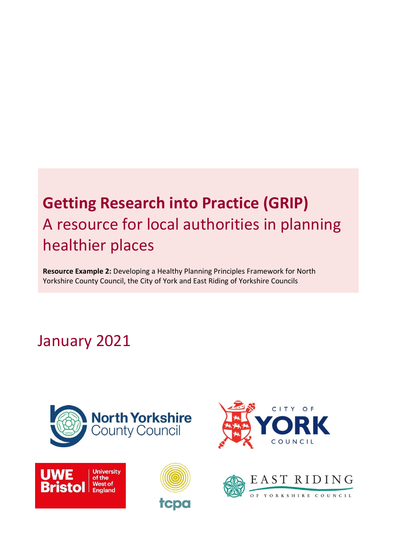# **Getting Research into Practice (GRIP)** A resource for local authorities in planning healthier places

**Resource Example 2:** Developing a Healthy Planning Principles Framework for North Yorkshire County Council, the City of York and East Riding of Yorkshire Councils

## January 2021









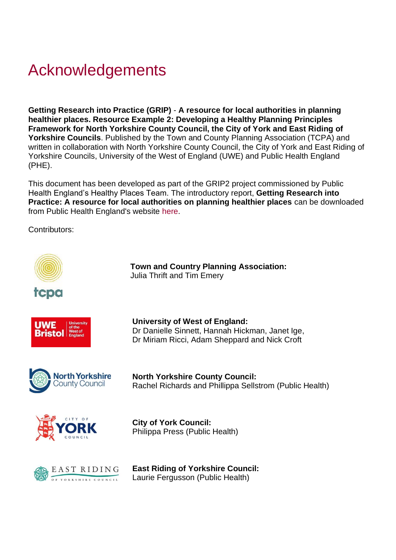# Acknowledgements

**Getting Research into Practice (GRIP)** - **A resource for local authorities in planning healthier places. Resource Example 2: Developing a Healthy Planning Principles Framework for North Yorkshire County Council, the City of York and East Riding of Yorkshire Councils**. Published by the Town and County Planning Association (TCPA) and written in collaboration with North Yorkshire County Council, the City of York and East Riding of Yorkshire Councils, University of the West of England (UWE) and Public Health England (PHE).

This document has been developed as part of the GRIP2 project commissioned by Public Health England's Healthy Places Team. The introductory report, **Getting Research into Practice: A resource for local authorities on planning healthier places** can be downloaded from Public Health England's website [here.](https://eur03.safelinks.protection.outlook.com/?url=https%3A%2F%2Fwww.gov.uk%2Fgovernment%2Fpublications%2Fspatial-planning-and-health-getting-research-into-practice-grip&data=04%7C01%7CTim.Emery%40tcpa.org.uk%7Ce0dece1e35814d0c21fa08d8a1a2a06d%7C7c8d1c3e6a2e4c60a232abd20d6e90ad%7C0%7C0%7C637437067133852652%7CUnknown%7CTWFpbGZsb3d8eyJWIjoiMC4wLjAwMDAiLCJQIjoiV2luMzIiLCJBTiI6Ik1haWwiLCJXVCI6Mn0%3D%7C1000&sdata=PoFILiDVhONAcnWJs3q45UTEFGY0FZ2GhRrhWVvxxAA%3D&reserved=0)

Contributors:

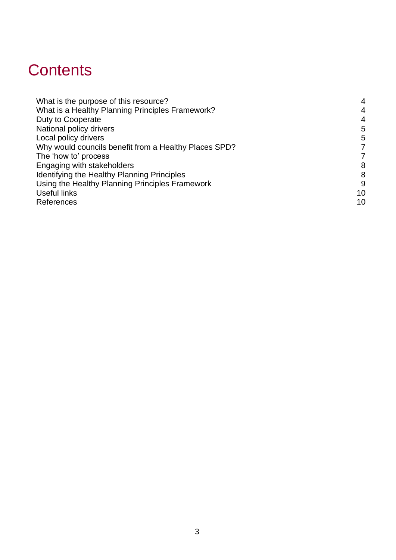## **Contents**

| What is the purpose of this resource?                 | $\overline{4}$ |
|-------------------------------------------------------|----------------|
| What is a Healthy Planning Principles Framework?      | $\overline{4}$ |
| Duty to Cooperate                                     | $\overline{4}$ |
| National policy drivers                               | 5              |
| Local policy drivers                                  | 5              |
| Why would councils benefit from a Healthy Places SPD? | 7              |
| The 'how to' process                                  | 7              |
| Engaging with stakeholders                            | 8              |
| Identifying the Healthy Planning Principles           | 8              |
| Using the Healthy Planning Principles Framework       | 9              |
| Useful links                                          | 10             |
| References                                            | 10             |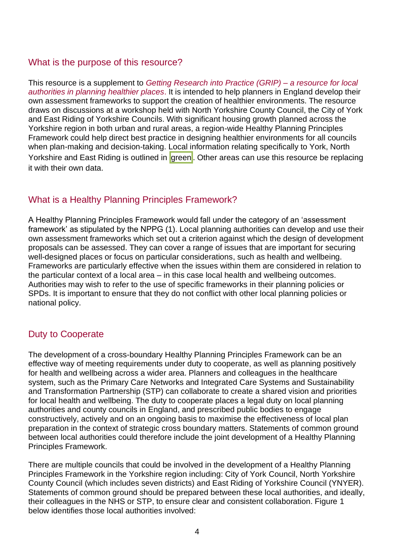#### <span id="page-3-0"></span>What is the purpose of this resource?

This resource is a supplement to *[Getting Research into Practice \(GRIP\) –](https://eur03.safelinks.protection.outlook.com/?url=https%3A%2F%2Fwww.gov.uk%2Fgovernment%2Fpublications%2Fspatial-planning-and-health-getting-research-into-practice-grip&data=04%7C01%7CTim.Emery%40tcpa.org.uk%7Ce0dece1e35814d0c21fa08d8a1a2a06d%7C7c8d1c3e6a2e4c60a232abd20d6e90ad%7C0%7C0%7C637437067133852652%7CUnknown%7CTWFpbGZsb3d8eyJWIjoiMC4wLjAwMDAiLCJQIjoiV2luMzIiLCJBTiI6Ik1haWwiLCJXVCI6Mn0%3D%7C1000&sdata=PoFILiDVhONAcnWJs3q45UTEFGY0FZ2GhRrhWVvxxAA%3D&reserved=0) a resource for local [authorities in planning healthier places](https://eur03.safelinks.protection.outlook.com/?url=https%3A%2F%2Fwww.gov.uk%2Fgovernment%2Fpublications%2Fspatial-planning-and-health-getting-research-into-practice-grip&data=04%7C01%7CTim.Emery%40tcpa.org.uk%7Ce0dece1e35814d0c21fa08d8a1a2a06d%7C7c8d1c3e6a2e4c60a232abd20d6e90ad%7C0%7C0%7C637437067133852652%7CUnknown%7CTWFpbGZsb3d8eyJWIjoiMC4wLjAwMDAiLCJQIjoiV2luMzIiLCJBTiI6Ik1haWwiLCJXVCI6Mn0%3D%7C1000&sdata=PoFILiDVhONAcnWJs3q45UTEFGY0FZ2GhRrhWVvxxAA%3D&reserved=0)*. It is intended to help planners in England develop their own assessment frameworks to support the creation of healthier environments. The resource draws on discussions at a workshop held with North Yorkshire County Council, the City of York and East Riding of Yorkshire Councils. With significant housing growth planned across the Yorkshire region in both urban and rural areas, a region-wide Healthy Planning Principles Framework could help direct best practice in designing healthier environments for all councils when plan-making and decision-taking. Local information relating specifically to York, North Yorkshire and East Riding is outlined in green. Other areas can use this resource be replacing it with their own data.

#### <span id="page-3-1"></span>What is a Healthy Planning Principles Framework?

A Healthy Planning Principles Framework would fall under the category of an 'assessment framework' as stipulated by the NPPG (1). Local planning authorities can develop and use their own assessment frameworks which set out a criterion against which the design of development proposals can be assessed. They can cover a range of issues that are important for securing well-designed places or focus on particular considerations, such as health and wellbeing. Frameworks are particularly effective when the issues within them are considered in relation to the particular context of a local area – in this case local health and wellbeing outcomes. Authorities may wish to refer to the use of specific frameworks in their planning policies or SPDs. It is important to ensure that they do not conflict with other local planning policies or national policy.

#### <span id="page-3-2"></span>Duty to Cooperate

The development of a cross-boundary Healthy Planning Principles Framework can be an effective way of meeting requirements under duty to cooperate, as well as planning positively for health and wellbeing across a wider area. Planners and colleagues in the healthcare system, such as the Primary Care Networks and Integrated Care Systems and Sustainability and Transformation Partnership (STP) can collaborate to create a shared vision and priorities for local health and wellbeing. The duty to cooperate places a legal duty on local planning authorities and county councils in England, and prescribed public bodies to engage constructively, actively and on an ongoing basis to maximise the effectiveness of local plan preparation in the context of strategic cross boundary matters. Statements of common ground between local authorities could therefore include the joint development of a Healthy Planning Principles Framework.

There are multiple councils that could be involved in the development of a Healthy Planning Principles Framework in the Yorkshire region including: City of York Council, North Yorkshire County Council (which includes seven districts) and East Riding of Yorkshire Council (YNYER). Statements of common ground should be prepared between these local authorities, and ideally, their colleagues in the NHS or STP, to ensure clear and consistent collaboration. Figure 1 below identifies those local authorities involved: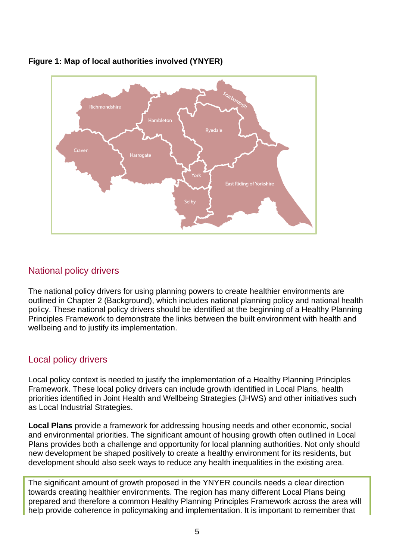

#### **Figure 1: Map of local authorities involved (YNYER)**

## <span id="page-4-0"></span>National policy drivers

The national policy drivers for using planning powers to create healthier environments are outlined in Chapter 2 (Background), which includes national planning policy and national health policy. These national policy drivers should be identified at the beginning of a Healthy Planning Principles Framework to demonstrate the links between the built environment with health and wellbeing and to justify its implementation.

#### <span id="page-4-1"></span>Local policy drivers

Local policy context is needed to justify the implementation of a Healthy Planning Principles Framework. These local policy drivers can include growth identified in Local Plans, health priorities identified in Joint Health and Wellbeing Strategies (JHWS) and other initiatives such as Local Industrial Strategies.

**Local Plans** provide a framework for addressing housing needs and other economic, social and environmental priorities. The significant amount of housing growth often outlined in Local Plans provides both a challenge and opportunity for local planning authorities. Not only should new development be shaped positively to create a healthy environment for its residents, but development should also seek ways to reduce any health inequalities in the existing area.

The significant amount of growth proposed in the YNYER councils needs a clear direction towards creating healthier environments. The region has many different Local Plans being prepared and therefore a common Healthy Planning Principles Framework across the area will help provide coherence in policymaking and implementation. It is important to remember that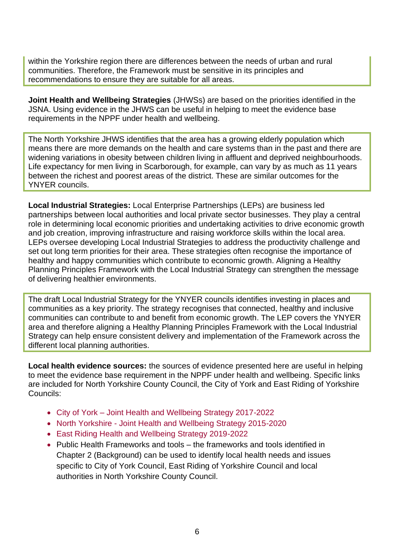within the Yorkshire region there are differences between the needs of urban and rural communities. Therefore, the Framework must be sensitive in its principles and recommendations to ensure they are suitable for all areas.

**Joint Health and Wellbeing Strategies** (JHWSs) are based on the priorities identified in the JSNA. Using evidence in the JHWS can be useful in helping to meet the evidence base requirements in the NPPF under health and wellbeing.

The North Yorkshire JHWS identifies that the area has a growing elderly population which means there are more demands on the health and care systems than in the past and there are widening variations in obesity between children living in affluent and deprived neighbourhoods. Life expectancy for men living in Scarborough, for example, can vary by as much as 11 years between the richest and poorest areas of the district. These are similar outcomes for the YNYER councils.

**Local Industrial Strategies:** Local Enterprise Partnerships (LEPs) are business led partnerships between local authorities and local private sector businesses. They play a central role in determining local economic priorities and undertaking activities to drive economic growth and job creation, improving infrastructure and raising workforce skills within the local area. LEPs oversee developing Local Industrial Strategies to address the productivity challenge and set out long term priorities for their area. These strategies often recognise the importance of healthy and happy communities which contribute to economic growth. Aligning a Healthy Planning Principles Framework with the Local Industrial Strategy can strengthen the message of delivering healthier environments.

The draft Local Industrial Strategy for the YNYER councils identifies investing in places and communities as a key priority. The strategy recognises that connected, healthy and inclusive communities can contribute to and benefit from economic growth. The LEP covers the YNYER area and therefore aligning a Healthy Planning Principles Framework with the Local Industrial Strategy can help ensure consistent delivery and implementation of the Framework across the different local planning authorities.

**Local health evidence sources:** the sources of evidence presented here are useful in helping to meet the evidence base requirement in the NPPF under health and wellbeing. Specific links are included for North Yorkshire County Council, the City of York and East Riding of Yorkshire Councils:

- City of York [Joint Health and Wellbeing Strategy 2017-2022](https://www.york.gov.uk/downloads/file/1103/joint-health-and-wellbeing-strategy-2017-to-2022)
- North Yorkshire [Joint Health and Wellbeing Strategy 2015-2020](https://www.nypartnerships.org.uk/sites/default/files/Partnership%20files/Health%20and%20wellbeing/jhwbs.pdf)
- [East Riding Health and Wellbeing Strategy 2019-2022](https://www.eastriding.gov.uk/council/committees/health-and-wellbeing-board/)
- Public Health Frameworks and tools the frameworks and tools identified in Chapter 2 (Background) can be used to identify local health needs and issues specific to City of York Council, East Riding of Yorkshire Council and local authorities in North Yorkshire County Council.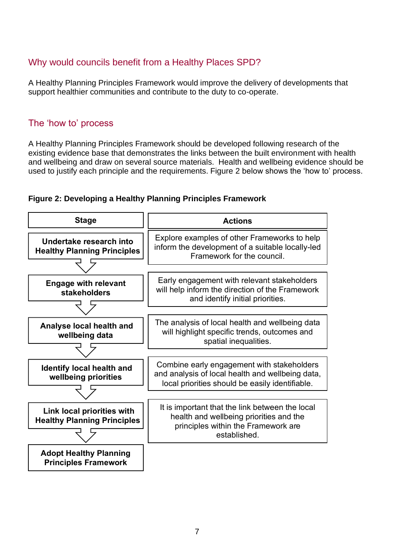## <span id="page-6-0"></span>Why would councils benefit from a Healthy Places SPD?

A Healthy Planning Principles Framework would improve the delivery of developments that support healthier communities and contribute to the duty to co-operate.

#### <span id="page-6-1"></span>The 'how to' process

A Healthy Planning Principles Framework should be developed following research of the existing evidence base that demonstrates the links between the built environment with health and wellbeing and draw on several source materials. Health and wellbeing evidence should be used to justify each principle and the requirements. Figure 2 below shows the 'how to' process.



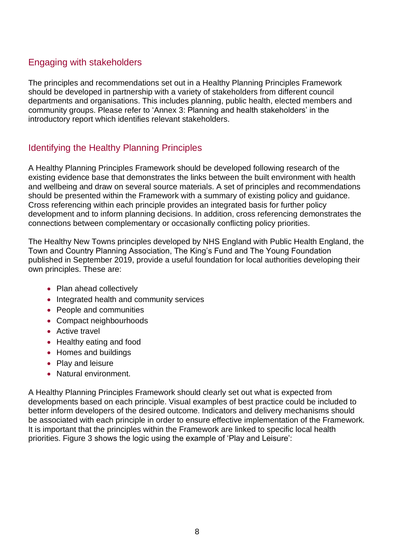#### <span id="page-7-0"></span>Engaging with stakeholders

The principles and recommendations set out in a Healthy Planning Principles Framework should be developed in partnership with a variety of stakeholders from different council departments and organisations. This includes planning, public health, elected members and community groups. Please refer to 'Annex 3: Planning and health stakeholders' in the introductory report which identifies relevant stakeholders.

## <span id="page-7-1"></span>Identifying the Healthy Planning Principles

A Healthy Planning Principles Framework should be developed following research of the existing evidence base that demonstrates the links between the built environment with health and wellbeing and draw on several source materials. A set of principles and recommendations should be presented within the Framework with a summary of existing policy and guidance. Cross referencing within each principle provides an integrated basis for further policy development and to inform planning decisions. In addition, cross referencing demonstrates the connections between complementary or occasionally conflicting policy priorities.

The Healthy New Towns principles developed by NHS England with Public Health England, the Town and Country Planning Association, The King's Fund and The Young Foundation published in September 2019, provide a useful foundation for local authorities developing their own principles. These are:

- Plan ahead collectively
- Integrated health and community services
- People and communities
- Compact neighbourhoods
- Active travel
- Healthy eating and food
- Homes and buildings
- Play and leisure
- Natural environment.

A Healthy Planning Principles Framework should clearly set out what is expected from developments based on each principle. Visual examples of best practice could be included to better inform developers of the desired outcome. Indicators and delivery mechanisms should be associated with each principle in order to ensure effective implementation of the Framework. It is important that the principles within the Framework are linked to specific local health priorities. Figure 3 shows the logic using the example of 'Play and Leisure':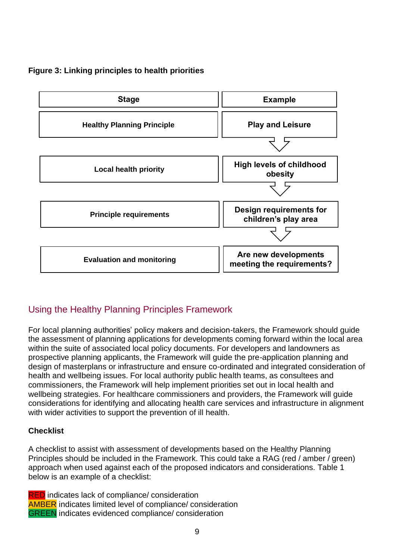#### **Figure 3: Linking principles to health priorities**



## <span id="page-8-0"></span>Using the Healthy Planning Principles Framework

For local planning authorities' policy makers and decision-takers, the Framework should guide the assessment of planning applications for developments coming forward within the local area within the suite of associated local policy documents. For developers and landowners as prospective planning applicants, the Framework will guide the pre-application planning and design of masterplans or infrastructure and ensure co-ordinated and integrated consideration of health and wellbeing issues. For local authority public health teams, as consultees and commissioners, the Framework will help implement priorities set out in local health and wellbeing strategies. For healthcare commissioners and providers, the Framework will guide considerations for identifying and allocating health care services and infrastructure in alignment with wider activities to support the prevention of ill health.

#### **Checklist**

A checklist to assist with assessment of developments based on the Healthy Planning Principles should be included in the Framework. This could take a RAG (red / amber / green) approach when used against each of the proposed indicators and considerations. Table 1 below is an example of a checklist:

**RED** indicates lack of compliance/ consideration AMBER indicates limited level of compliance/ consideration GREEN indicates evidenced compliance/ consideration